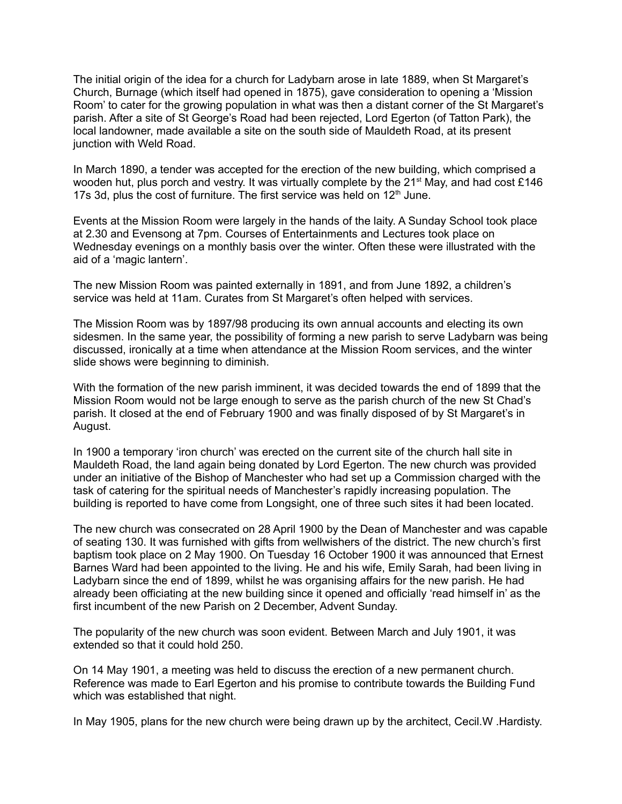The initial origin of the idea for a church for Ladybarn arose in late 1889, when St Margaret's Church, Burnage (which itself had opened in 1875), gave consideration to opening a 'Mission Room' to cater for the growing population in what was then a distant corner of the St Margaret's parish. After a site of St George's Road had been rejected, Lord Egerton (of Tatton Park), the local landowner, made available a site on the south side of Mauldeth Road, at its present junction with Weld Road.

In March 1890, a tender was accepted for the erection of the new building, which comprised a wooden hut, plus porch and vestry. It was virtually complete by the 21<sup>st</sup> May, and had cost £146 17s 3d, plus the cost of furniture. The first service was held on  $12<sup>th</sup>$  June.

Events at the Mission Room were largely in the hands of the laity. A Sunday School took place at 2.30 and Evensong at 7pm. Courses of Entertainments and Lectures took place on Wednesday evenings on a monthly basis over the winter. Often these were illustrated with the aid of a 'magic lantern'.

The new Mission Room was painted externally in 1891, and from June 1892, a children's service was held at 11am. Curates from St Margaret's often helped with services.

The Mission Room was by 1897/98 producing its own annual accounts and electing its own sidesmen. In the same year, the possibility of forming a new parish to serve Ladybarn was being discussed, ironically at a time when attendance at the Mission Room services, and the winter slide shows were beginning to diminish.

With the formation of the new parish imminent, it was decided towards the end of 1899 that the Mission Room would not be large enough to serve as the parish church of the new St Chad's parish. It closed at the end of February 1900 and was finally disposed of by St Margaret's in August.

In 1900 a temporary 'iron church' was erected on the current site of the church hall site in Mauldeth Road, the land again being donated by Lord Egerton. The new church was provided under an initiative of the Bishop of Manchester who had set up a Commission charged with the task of catering for the spiritual needs of Manchester's rapidly increasing population. The building is reported to have come from Longsight, one of three such sites it had been located.

The new church was consecrated on 28 April 1900 by the Dean of Manchester and was capable of seating 130. It was furnished with gifts from wellwishers of the district. The new church's first baptism took place on 2 May 1900. On Tuesday 16 October 1900 it was announced that Ernest Barnes Ward had been appointed to the living. He and his wife, Emily Sarah, had been living in Ladybarn since the end of 1899, whilst he was organising affairs for the new parish. He had already been officiating at the new building since it opened and officially 'read himself in' as the first incumbent of the new Parish on 2 December, Advent Sunday.

The popularity of the new church was soon evident. Between March and July 1901, it was extended so that it could hold 250.

On 14 May 1901, a meeting was held to discuss the erection of a new permanent church. Reference was made to Earl Egerton and his promise to contribute towards the Building Fund which was established that night.

In May 1905, plans for the new church were being drawn up by the architect, Cecil.W .Hardisty.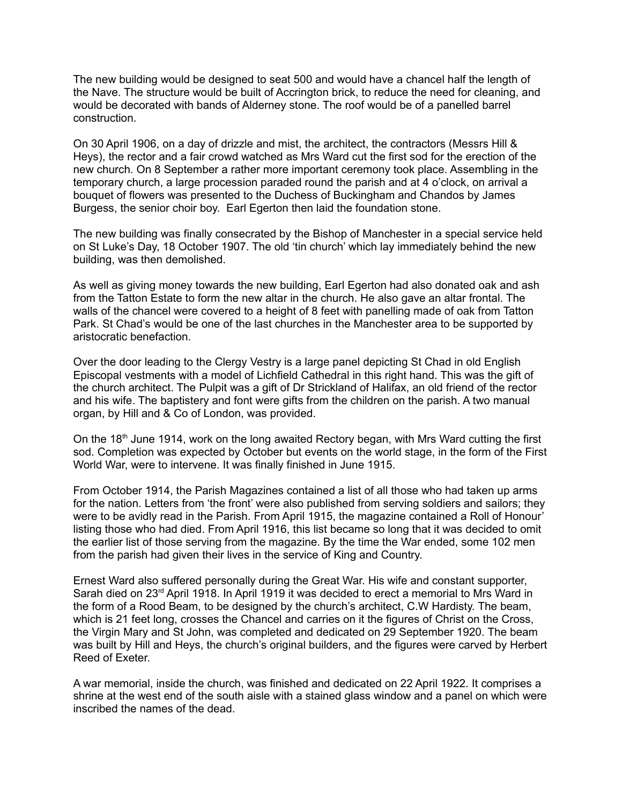The new building would be designed to seat 500 and would have a chancel half the length of the Nave. The structure would be built of Accrington brick, to reduce the need for cleaning, and would be decorated with bands of Alderney stone. The roof would be of a panelled barrel construction.

On 30 April 1906, on a day of drizzle and mist, the architect, the contractors (Messrs Hill & Heys), the rector and a fair crowd watched as Mrs Ward cut the first sod for the erection of the new church. On 8 September a rather more important ceremony took place. Assembling in the temporary church, a large procession paraded round the parish and at 4 o'clock, on arrival a bouquet of flowers was presented to the Duchess of Buckingham and Chandos by James Burgess, the senior choir boy. Earl Egerton then laid the foundation stone.

The new building was finally consecrated by the Bishop of Manchester in a special service held on St Luke's Day, 18 October 1907. The old 'tin church' which lay immediately behind the new building, was then demolished.

As well as giving money towards the new building, Earl Egerton had also donated oak and ash from the Tatton Estate to form the new altar in the church. He also gave an altar frontal. The walls of the chancel were covered to a height of 8 feet with panelling made of oak from Tatton Park. St Chad's would be one of the last churches in the Manchester area to be supported by aristocratic benefaction.

Over the door leading to the Clergy Vestry is a large panel depicting St Chad in old English Episcopal vestments with a model of Lichfield Cathedral in this right hand. This was the gift of the church architect. The Pulpit was a gift of Dr Strickland of Halifax, an old friend of the rector and his wife. The baptistery and font were gifts from the children on the parish. A two manual organ, by Hill and & Co of London, was provided.

On the 18<sup>th</sup> June 1914, work on the long awaited Rectory began, with Mrs Ward cutting the first sod. Completion was expected by October but events on the world stage, in the form of the First World War, were to intervene. It was finally finished in June 1915.

From October 1914, the Parish Magazines contained a list of all those who had taken up arms for the nation. Letters from 'the front' were also published from serving soldiers and sailors; they were to be avidly read in the Parish. From April 1915, the magazine contained a Roll of Honour' listing those who had died. From April 1916, this list became so long that it was decided to omit the earlier list of those serving from the magazine. By the time the War ended, some 102 men from the parish had given their lives in the service of King and Country.

Ernest Ward also suffered personally during the Great War. His wife and constant supporter, Sarah died on 23<sup>rd</sup> April 1918. In April 1919 it was decided to erect a memorial to Mrs Ward in the form of a Rood Beam, to be designed by the church's architect, C.W Hardisty. The beam, which is 21 feet long, crosses the Chancel and carries on it the figures of Christ on the Cross, the Virgin Mary and St John, was completed and dedicated on 29 September 1920. The beam was built by Hill and Heys, the church's original builders, and the figures were carved by Herbert Reed of Exeter.

A war memorial, inside the church, was finished and dedicated on 22 April 1922. It comprises a shrine at the west end of the south aisle with a stained glass window and a panel on which were inscribed the names of the dead.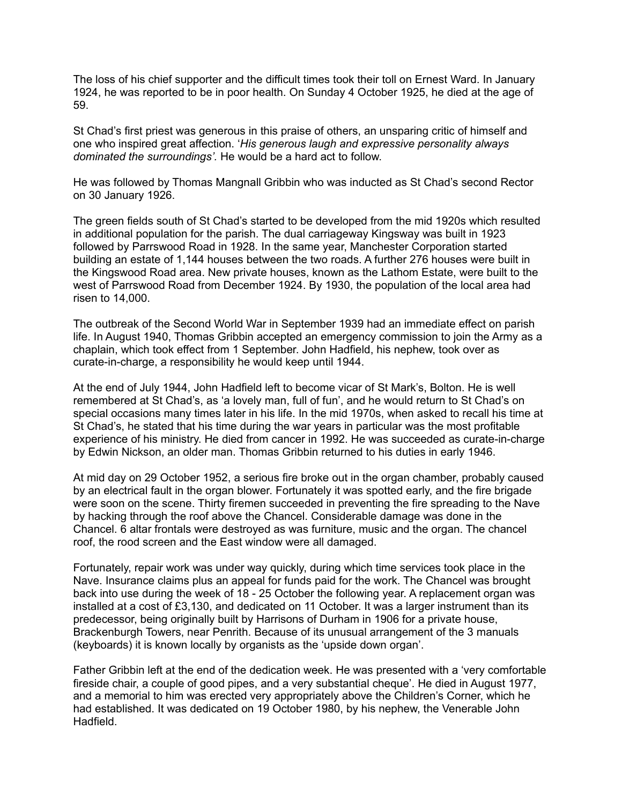The loss of his chief supporter and the difficult times took their toll on Ernest Ward. In January 1924, he was reported to be in poor health. On Sunday 4 October 1925, he died at the age of 59.

St Chad's first priest was generous in this praise of others, an unsparing critic of himself and one who inspired great affection. '*His generous laugh and expressive personality always dominated the surroundings'.* He would be a hard act to follow.

He was followed by Thomas Mangnall Gribbin who was inducted as St Chad's second Rector on 30 January 1926.

The green fields south of St Chad's started to be developed from the mid 1920s which resulted in additional population for the parish. The dual carriageway Kingsway was built in 1923 followed by Parrswood Road in 1928. In the same year, Manchester Corporation started building an estate of 1,144 houses between the two roads. A further 276 houses were built in the Kingswood Road area. New private houses, known as the Lathom Estate, were built to the west of Parrswood Road from December 1924. By 1930, the population of the local area had risen to 14,000.

The outbreak of the Second World War in September 1939 had an immediate effect on parish life. In August 1940, Thomas Gribbin accepted an emergency commission to join the Army as a chaplain, which took effect from 1 September. John Hadfield, his nephew, took over as curate-in-charge, a responsibility he would keep until 1944.

At the end of July 1944, John Hadfield left to become vicar of St Mark's, Bolton. He is well remembered at St Chad's, as 'a lovely man, full of fun', and he would return to St Chad's on special occasions many times later in his life. In the mid 1970s, when asked to recall his time at St Chad's, he stated that his time during the war years in particular was the most profitable experience of his ministry. He died from cancer in 1992. He was succeeded as curate-in-charge by Edwin Nickson, an older man. Thomas Gribbin returned to his duties in early 1946.

At mid day on 29 October 1952, a serious fire broke out in the organ chamber, probably caused by an electrical fault in the organ blower. Fortunately it was spotted early, and the fire brigade were soon on the scene. Thirty firemen succeeded in preventing the fire spreading to the Nave by hacking through the roof above the Chancel. Considerable damage was done in the Chancel. 6 altar frontals were destroyed as was furniture, music and the organ. The chancel roof, the rood screen and the East window were all damaged.

Fortunately, repair work was under way quickly, during which time services took place in the Nave. Insurance claims plus an appeal for funds paid for the work. The Chancel was brought back into use during the week of 18 - 25 October the following year. A replacement organ was installed at a cost of £3,130, and dedicated on 11 October. It was a larger instrument than its predecessor, being originally built by Harrisons of Durham in 1906 for a private house, Brackenburgh Towers, near Penrith. Because of its unusual arrangement of the 3 manuals (keyboards) it is known locally by organists as the 'upside down organ'.

Father Gribbin left at the end of the dedication week. He was presented with a 'very comfortable fireside chair, a couple of good pipes, and a very substantial cheque'. He died in August 1977, and a memorial to him was erected very appropriately above the Children's Corner, which he had established. It was dedicated on 19 October 1980, by his nephew, the Venerable John Hadfield.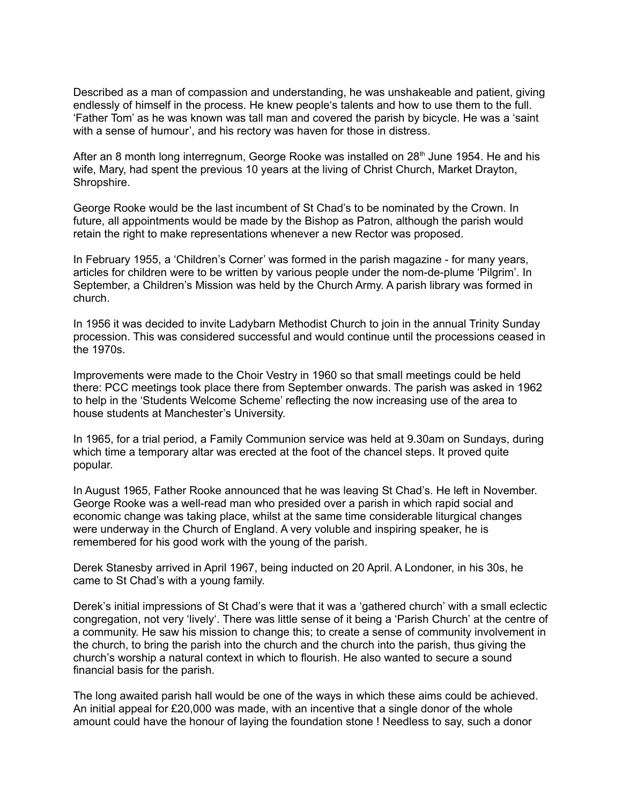Described as a man of compassion and understanding, he was unshakeable and patient, giving endlessly of himself in the process. He knew people's talents and how to use them to the full. 'Father Tom' as he was known was tall man and covered the parish by bicycle. He was a 'saint with a sense of humour', and his rectory was haven for those in distress.

After an 8 month long interregnum, George Rooke was installed on 28<sup>th</sup> June 1954. He and his wife, Mary, had spent the previous 10 years at the living of Christ Church, Market Drayton, Shropshire.

George Rooke would be the last incumbent of St Chad's to be nominated by the Crown. In future, all appointments would be made by the Bishop as Patron, although the parish would retain the right to make representations whenever a new Rector was proposed.

In February 1955, a 'Children's Corner' was formed in the parish magazine - for many years, articles for children were to be written by various people under the nom-de-plume 'Pilgrim'. In September, a Children's Mission was held by the Church Army. A parish library was formed in church.

In 1956 it was decided to invite Ladybarn Methodist Church to join in the annual Trinity Sunday procession. This was considered successful and would continue until the processions ceased in the 1970s.

Improvements were made to the Choir Vestry in 1960 so that small meetings could be held there: PCC meetings took place there from September onwards. The parish was asked in 1962 to help in the 'Students Welcome Scheme' reflecting the now increasing use of the area to house students at Manchester's University.

In 1965, for a trial period, a Family Communion service was held at 9.30am on Sundays, during which time a temporary altar was erected at the foot of the chancel steps. It proved quite popular.

In August 1965, Father Rooke announced that he was leaving St Chad's. He left in November. George Rooke was a well-read man who presided over a parish in which rapid social and economic change was taking place, whilst at the same time considerable liturgical changes were underway in the Church of England. A very voluble and inspiring speaker, he is remembered for his good work with the young of the parish.

Derek Stanesby arrived in April 1967, being inducted on 20 April. A Londoner, in his 30s, he came to St Chad's with a young family.

Derek's initial impressions of St Chad's were that it was a 'gathered church' with a small eclectic congregation, not very 'lively'. There was little sense of it being a 'Parish Church' at the centre of a community. He saw his mission to change this; to create a sense of community involvement in the church, to bring the parish into the church and the church into the parish, thus giving the church's worship a natural context in which to flourish. He also wanted to secure a sound financial basis for the parish.

The long awaited parish hall would be one of the ways in which these aims could be achieved. An initial appeal for £20,000 was made, with an incentive that a single donor of the whole amount could have the honour of laying the foundation stone ! Needless to say, such a donor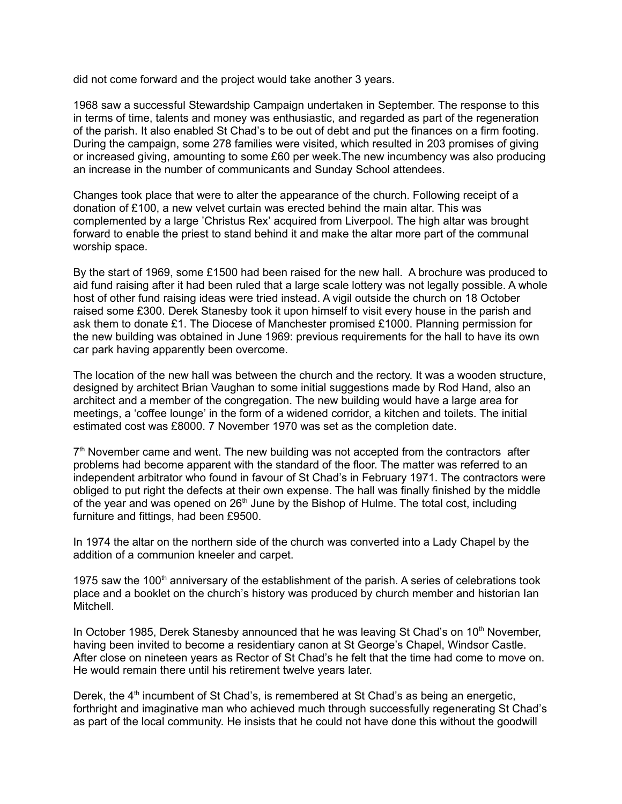did not come forward and the project would take another 3 years.

1968 saw a successful Stewardship Campaign undertaken in September. The response to this in terms of time, talents and money was enthusiastic, and regarded as part of the regeneration of the parish. It also enabled St Chad's to be out of debt and put the finances on a firm footing. During the campaign, some 278 families were visited, which resulted in 203 promises of giving or increased giving, amounting to some £60 per week.The new incumbency was also producing an increase in the number of communicants and Sunday School attendees.

Changes took place that were to alter the appearance of the church. Following receipt of a donation of £100, a new velvet curtain was erected behind the main altar. This was complemented by a large 'Christus Rex' acquired from Liverpool. The high altar was brought forward to enable the priest to stand behind it and make the altar more part of the communal worship space.

By the start of 1969, some £1500 had been raised for the new hall. A brochure was produced to aid fund raising after it had been ruled that a large scale lottery was not legally possible. A whole host of other fund raising ideas were tried instead. A vigil outside the church on 18 October raised some £300. Derek Stanesby took it upon himself to visit every house in the parish and ask them to donate £1. The Diocese of Manchester promised £1000. Planning permission for the new building was obtained in June 1969: previous requirements for the hall to have its own car park having apparently been overcome.

The location of the new hall was between the church and the rectory. It was a wooden structure, designed by architect Brian Vaughan to some initial suggestions made by Rod Hand, also an architect and a member of the congregation. The new building would have a large area for meetings, a 'coffee lounge' in the form of a widened corridor, a kitchen and toilets. The initial estimated cost was £8000. 7 November 1970 was set as the completion date.

 $7<sup>th</sup>$  November came and went. The new building was not accepted from the contractors after problems had become apparent with the standard of the floor. The matter was referred to an independent arbitrator who found in favour of St Chad's in February 1971. The contractors were obliged to put right the defects at their own expense. The hall was finally finished by the middle of the year and was opened on  $26<sup>th</sup>$  June by the Bishop of Hulme. The total cost, including furniture and fittings, had been £9500.

In 1974 the altar on the northern side of the church was converted into a Lady Chapel by the addition of a communion kneeler and carpet.

1975 saw the 100<sup>th</sup> anniversary of the establishment of the parish. A series of celebrations took place and a booklet on the church's history was produced by church member and historian Ian Mitchell.

In October 1985, Derek Stanesby announced that he was leaving St Chad's on  $10<sup>th</sup>$  November, having been invited to become a residentiary canon at St George's Chapel, Windsor Castle. After close on nineteen years as Rector of St Chad's he felt that the time had come to move on. He would remain there until his retirement twelve years later.

Derek, the  $4<sup>th</sup>$  incumbent of St Chad's, is remembered at St Chad's as being an energetic, forthright and imaginative man who achieved much through successfully regenerating St Chad's as part of the local community. He insists that he could not have done this without the goodwill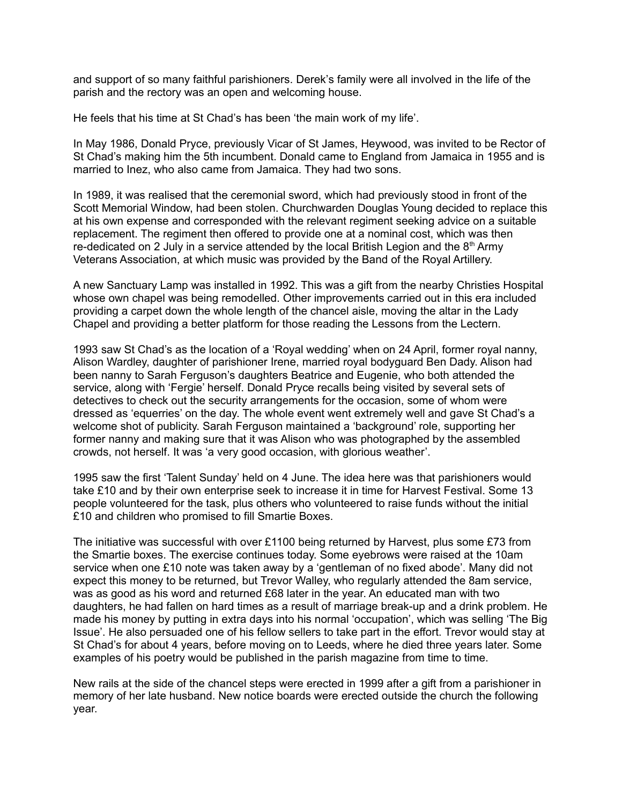and support of so many faithful parishioners. Derek's family were all involved in the life of the parish and the rectory was an open and welcoming house.

He feels that his time at St Chad's has been 'the main work of my life'.

In May 1986, Donald Pryce, previously Vicar of St James, Heywood, was invited to be Rector of St Chad's making him the 5th incumbent. Donald came to England from Jamaica in 1955 and is married to Inez, who also came from Jamaica. They had two sons.

In 1989, it was realised that the ceremonial sword, which had previously stood in front of the Scott Memorial Window, had been stolen. Churchwarden Douglas Young decided to replace this at his own expense and corresponded with the relevant regiment seeking advice on a suitable replacement. The regiment then offered to provide one at a nominal cost, which was then re-dedicated on 2 July in a service attended by the local British Legion and the  $8<sup>th</sup>$  Army Veterans Association, at which music was provided by the Band of the Royal Artillery.

A new Sanctuary Lamp was installed in 1992. This was a gift from the nearby Christies Hospital whose own chapel was being remodelled. Other improvements carried out in this era included providing a carpet down the whole length of the chancel aisle, moving the altar in the Lady Chapel and providing a better platform for those reading the Lessons from the Lectern.

1993 saw St Chad's as the location of a 'Royal wedding' when on 24 April, former royal nanny, Alison Wardley, daughter of parishioner Irene, married royal bodyguard Ben Dady. Alison had been nanny to Sarah Ferguson's daughters Beatrice and Eugenie, who both attended the service, along with 'Fergie' herself. Donald Pryce recalls being visited by several sets of detectives to check out the security arrangements for the occasion, some of whom were dressed as 'equerries' on the day. The whole event went extremely well and gave St Chad's a welcome shot of publicity. Sarah Ferguson maintained a 'background' role, supporting her former nanny and making sure that it was Alison who was photographed by the assembled crowds, not herself. It was 'a very good occasion, with glorious weather'.

1995 saw the first 'Talent Sunday' held on 4 June. The idea here was that parishioners would take £10 and by their own enterprise seek to increase it in time for Harvest Festival. Some 13 people volunteered for the task, plus others who volunteered to raise funds without the initial £10 and children who promised to fill Smartie Boxes.

The initiative was successful with over £1100 being returned by Harvest, plus some £73 from the Smartie boxes. The exercise continues today. Some eyebrows were raised at the 10am service when one £10 note was taken away by a 'gentleman of no fixed abode'. Many did not expect this money to be returned, but Trevor Walley, who regularly attended the 8am service, was as good as his word and returned £68 later in the year. An educated man with two daughters, he had fallen on hard times as a result of marriage break-up and a drink problem. He made his money by putting in extra days into his normal 'occupation', which was selling 'The Big Issue'. He also persuaded one of his fellow sellers to take part in the effort. Trevor would stay at St Chad's for about 4 years, before moving on to Leeds, where he died three years later. Some examples of his poetry would be published in the parish magazine from time to time.

New rails at the side of the chancel steps were erected in 1999 after a gift from a parishioner in memory of her late husband. New notice boards were erected outside the church the following year.